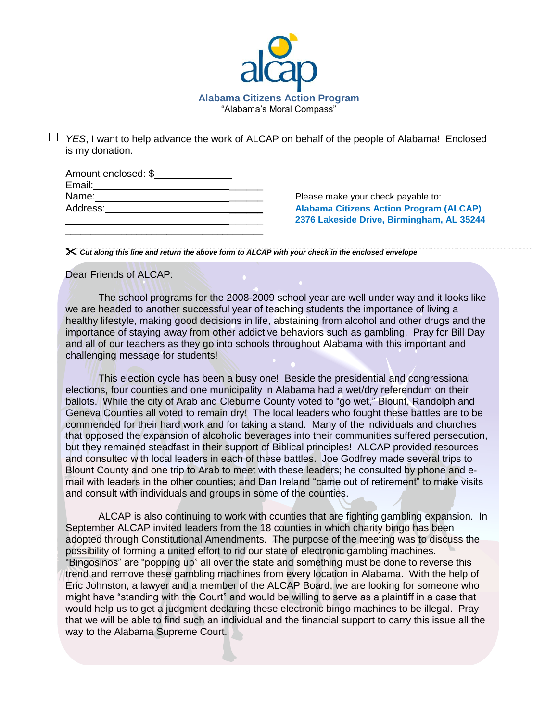

*YES*, I want to help advance the work of ALCAP on behalf of the people of Alabama! Enclosed is my donation.

| Amount enclosed: \$ |  |
|---------------------|--|
| Email:              |  |
| Name:               |  |
| Address:            |  |
|                     |  |

\_\_\_\_\_\_\_\_\_\_\_\_\_\_\_\_\_\_\_\_\_\_\_\_\_\_\_\_\_\_\_\_\_\_\_\_\_\_\_

Please make your check payable to: **Alabama Citizens Action Program (ALCAP)** \_\_\_\_\_\_ **2376 Lakeside Drive, Birmingham, AL 35244**

*Cut along this line and return the above form to ALCAP with your check in the enclosed envelope*

Dear Friends of ALCAP:

The school programs for the 2008-2009 school year are well under way and it looks like we are headed to another successful year of teaching students the importance of living a healthy lifestyle, making good decisions in life, abstaining from alcohol and other drugs and the importance of staying away from other addictive behaviors such as gambling. Pray for Bill Day and all of our teachers as they go into schools throughout Alabama with this important and challenging message for students!

This election cycle has been a busy one! Beside the presidential and congressional elections, four counties and one municipality in Alabama had a wet/dry referendum on their ballots. While the city of Arab and Cleburne County voted to "go wet," Blount, Randolph and Geneva Counties all voted to remain dry! The local leaders who fought these battles are to be commended for their hard work and for taking a stand. Many of the individuals and churches that opposed the expansion of alcoholic beverages into their communities suffered persecution, but they remained steadfast in their support of Biblical principles! ALCAP provided resources and consulted with local leaders in each of these battles. Joe Godfrey made several trips to Blount County and one trip to Arab to meet with these leaders; he consulted by phone and email with leaders in the other counties; and Dan Ireland "came out of retirement" to make visits and consult with individuals and groups in some of the counties.

ALCAP is also continuing to work with counties that are fighting gambling expansion. In September ALCAP invited leaders from the 18 counties in which charity bingo has been adopted through Constitutional Amendments. The purpose of the meeting was to discuss the possibility of forming a united effort to rid our state of electronic gambling machines. "Bingosinos" are "popping up" all over the state and something must be done to reverse this trend and remove these gambling machines from every location in Alabama. With the help of Eric Johnston, a lawyer and a member of the ALCAP Board, we are looking for someone who might have "standing with the Court" and would be willing to serve as a plaintiff in a case that would help us to get a judgment declaring these electronic bingo machines to be illegal. Pray that we will be able to find such an individual and the financial support to carry this issue all the way to the Alabama Supreme Court.